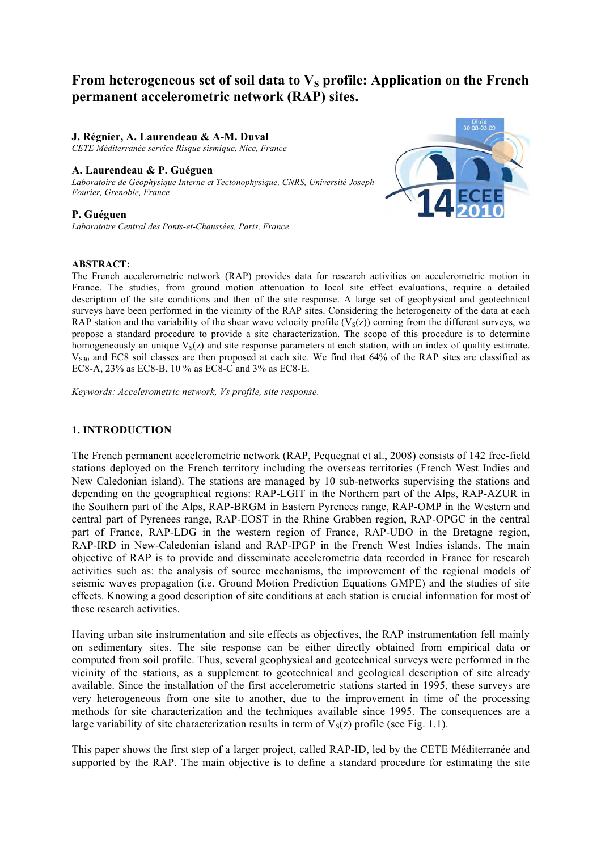# From heterogeneous set of soil data to V<sub>S</sub> profile: Application on the French **permanent accelerometric network (RAP) sites.**

### **J. Régnier, A. Laurendeau & A-M. Duval**

*CETE Méditerranée service Risque sismique, Nice, France*

### **A. Laurendeau & P. Guéguen**

*Laboratoire de Géophysique Interne et Tectonophysique, CNRS, Université Joseph Fourier, Grenoble, France*

### **P. Guéguen**

*Laboratoire Central des Ponts-et-Chaussées, Paris, France*



### **ABSTRACT:**

The French accelerometric network (RAP) provides data for research activities on accelerometric motion in France. The studies, from ground motion attenuation to local site effect evaluations, require a detailed description of the site conditions and then of the site response. A large set of geophysical and geotechnical surveys have been performed in the vicinity of the RAP sites. Considering the heterogeneity of the data at each RAP station and the variability of the shear wave velocity profile  $(V<sub>S</sub>(z))$  coming from the different surveys, we propose a standard procedure to provide a site characterization. The scope of this procedure is to determine homogeneously an unique  $V_S(z)$  and site response parameters at each station, with an index of quality estimate.  $V<sub>S30</sub>$  and EC8 soil classes are then proposed at each site. We find that 64% of the RAP sites are classified as EC8-A, 23% as EC8-B, 10 % as EC8-C and 3% as EC8-E.

*Keywords: Accelerometric network, Vs profile, site response.* 

## **1. INTRODUCTION**

The French permanent accelerometric network (RAP, Pequegnat et al., 2008) consists of 142 free-field stations deployed on the French territory including the overseas territories (French West Indies and New Caledonian island). The stations are managed by 10 sub-networks supervising the stations and depending on the geographical regions: RAP-LGIT in the Northern part of the Alps, RAP-AZUR in the Southern part of the Alps, RAP-BRGM in Eastern Pyrenees range, RAP-OMP in the Western and central part of Pyrenees range, RAP-EOST in the Rhine Grabben region, RAP-OPGC in the central part of France, RAP-LDG in the western region of France, RAP-UBO in the Bretagne region, RAP-IRD in New-Caledonian island and RAP-IPGP in the French West Indies islands. The main objective of RAP is to provide and disseminate accelerometric data recorded in France for research activities such as: the analysis of source mechanisms, the improvement of the regional models of seismic waves propagation (i.e. Ground Motion Prediction Equations GMPE) and the studies of site effects. Knowing a good description of site conditions at each station is crucial information for most of these research activities.

Having urban site instrumentation and site effects as objectives, the RAP instrumentation fell mainly on sedimentary sites. The site response can be either directly obtained from empirical data or computed from soil profile. Thus, several geophysical and geotechnical surveys were performed in the vicinity of the stations, as a supplement to geotechnical and geological description of site already available. Since the installation of the first accelerometric stations started in 1995, these surveys are very heterogeneous from one site to another, due to the improvement in time of the processing methods for site characterization and the techniques available since 1995. The consequences are a large variability of site characterization results in term of  $V_s(z)$  profile (see Fig. 1.1).

This paper shows the first step of a larger project, called RAP-ID, led by the CETE Méditerranée and supported by the RAP. The main objective is to define a standard procedure for estimating the site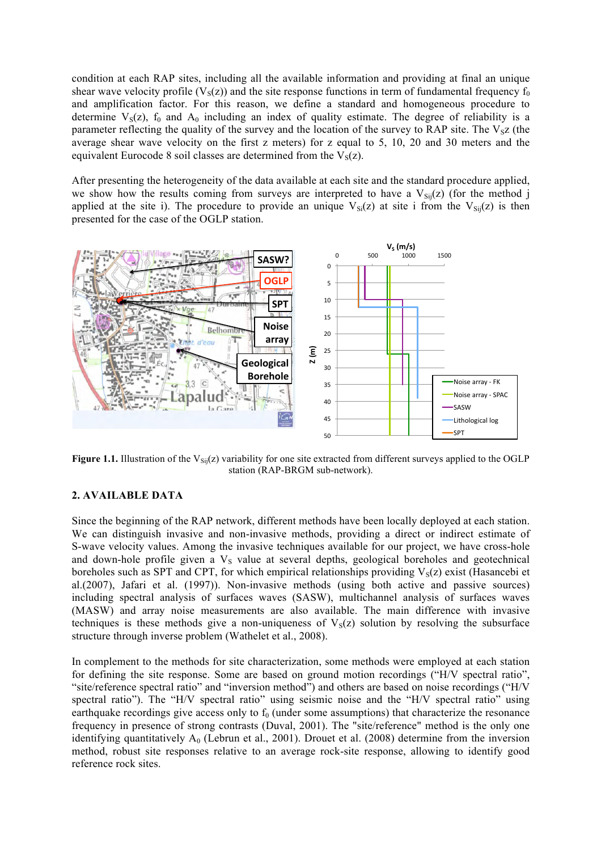condition at each RAP sites, including all the available information and providing at final an unique shear wave velocity profile ( $V_s(z)$ ) and the site response functions in term of fundamental frequency  $f_0$ and amplification factor. For this reason, we define a standard and homogeneous procedure to determine  $V_S(z)$ ,  $f_0$  and  $A_0$  including an index of quality estimate. The degree of reliability is a parameter reflecting the quality of the survey and the location of the survey to RAP site. The  $V_{\rm SZ}$  (the average shear wave velocity on the first z meters) for z equal to 5, 10, 20 and 30 meters and the equivalent Eurocode 8 soil classes are determined from the  $V_s(z)$ .

After presenting the heterogeneity of the data available at each site and the standard procedure applied, we show how the results coming from surveys are interpreted to have a  $V_{Si}(z)$  (for the method j applied at the site i). The procedure to provide an unique  $V_{Si}(z)$  at site i from the  $V_{Si}(z)$  is then presented for the case of the OGLP station.



**Figure 1.1.** Illustration of the  $V_{Si}$  (z) variability for one site extracted from different surveys applied to the OGLP station (RAP-BRGM sub-network).

# **2. AVAILABLE DATA**

Since the beginning of the RAP network, different methods have been locally deployed at each station. We can distinguish invasive and non-invasive methods, providing a direct or indirect estimate of S-wave velocity values. Among the invasive techniques available for our project, we have cross-hole and down-hole profile given a  $V<sub>S</sub>$  value at several depths, geological boreholes and geotechnical boreholes such as SPT and CPT, for which empirical relationships providing  $V_s(z)$  exist (Hasancebi et al.(2007), Jafari et al. (1997)). Non-invasive methods (using both active and passive sources) including spectral analysis of surfaces waves (SASW), multichannel analysis of surfaces waves (MASW) and array noise measurements are also available. The main difference with invasive techniques is these methods give a non-uniqueness of  $V<sub>s</sub>(z)$  solution by resolving the subsurface structure through inverse problem (Wathelet et al., 2008).

In complement to the methods for site characterization, some methods were employed at each station for defining the site response. Some are based on ground motion recordings ("H/V spectral ratio", "site/reference spectral ratio" and "inversion method") and others are based on noise recordings ("H/V spectral ratio"). The "H/V spectral ratio" using seismic noise and the "H/V spectral ratio" using earthquake recordings give access only to  $f_0$  (under some assumptions) that characterize the resonance frequency in presence of strong contrasts (Duval, 2001). The "site/reference" method is the only one identifying quantitatively  $A_0$  (Lebrun et al., 2001). Drouet et al. (2008) determine from the inversion method, robust site responses relative to an average rock-site response, allowing to identify good reference rock sites.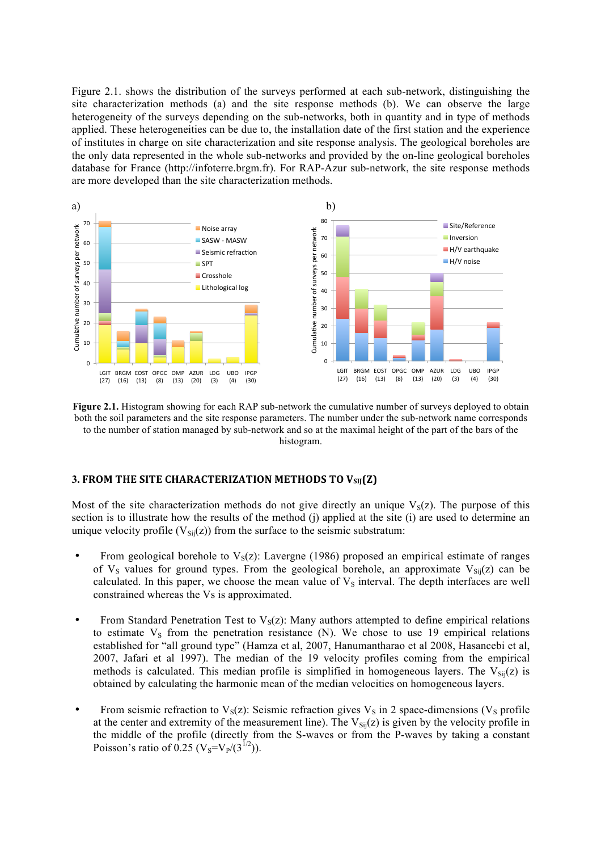Figure 2.1. shows the distribution of the surveys performed at each sub-network, distinguishing the site characterization methods (a) and the site response methods (b). We can observe the large heterogeneity of the surveys depending on the sub-networks, both in quantity and in type of methods applied. These heterogeneities can be due to, the installation date of the first station and the experience of institutes in charge on site characterization and site response analysis. The geological boreholes are the only data represented in the whole sub-networks and provided by the on-line geological boreholes database for France (http://infoterre.brgm.fr). For RAP-Azur sub-network, the site response methods are more developed than the site characterization methods.



**Figure 2.1.** Histogram showing for each RAP sub-network the cumulative number of surveys deployed to obtain both the soil parameters and the site response parameters. The number under the sub-network name corresponds to the number of station managed by sub-network and so at the maximal height of the part of the bars of the histogram.

### **3. FROM THE SITE CHARACTERIZATION METHODS TO VSIJ(Z)**

Most of the site characterization methods do not give directly an unique  $V_s(z)$ . The purpose of this section is to illustrate how the results of the method (j) applied at the site (i) are used to determine an unique velocity profile ( $V_{Si}(z)$ ) from the surface to the seismic substratum:

- From geological borehole to  $V_s(z)$ : Lavergne (1986) proposed an empirical estimate of ranges of  $V_s$  values for ground types. From the geological borehole, an approximate  $V_{\text{Si}}(z)$  can be calculated. In this paper, we choose the mean value of  $V<sub>S</sub>$  interval. The depth interfaces are well constrained whereas the Vs is approximated.
- From Standard Penetration Test to  $V_s(z)$ : Many authors attempted to define empirical relations to estimate  $V<sub>S</sub>$  from the penetration resistance (N). We chose to use 19 empirical relations established for "all ground type" (Hamza et al, 2007, Hanumantharao et al 2008, Hasancebi et al, 2007, Jafari et al 1997). The median of the 19 velocity profiles coming from the empirical methods is calculated. This median profile is simplified in homogeneous layers. The  $V_{Si}(z)$  is obtained by calculating the harmonic mean of the median velocities on homogeneous layers.
- From seismic refraction to  $V_s(z)$ : Seismic refraction gives  $V_s$  in 2 space-dimensions ( $V_s$  profile at the center and extremity of the measurement line). The  $V_{Si}(z)$  is given by the velocity profile in the middle of the profile (directly from the S-waves or from the P-waves by taking a constant Poisson's ratio of 0.25 (V<sub>S</sub>=V<sub>P</sub>/(3<sup>1/2</sup>)).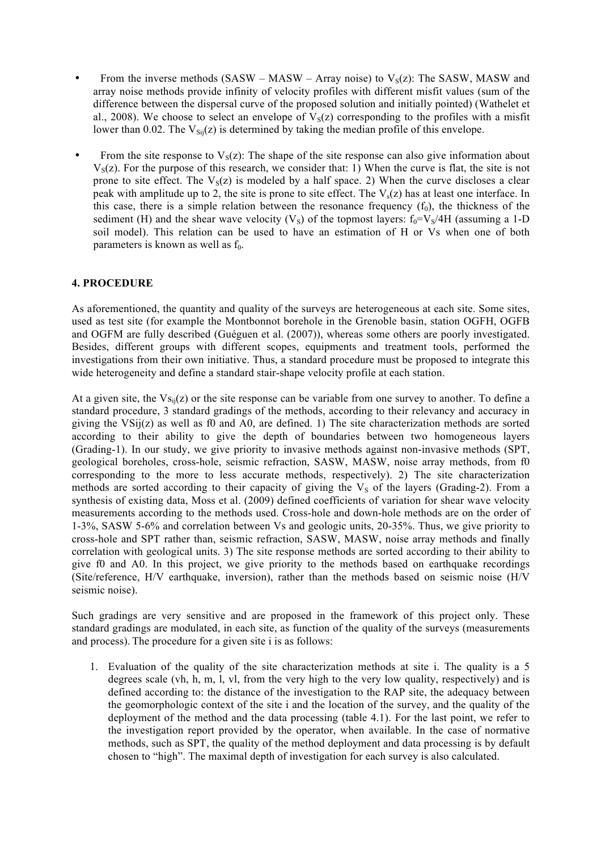- From the inverse methods (SASW MASW Array noise) to  $V_s(z)$ : The SASW, MASW and array noise methods provide infinity of velocity profiles with different misfit values (sum of the difference between the dispersal curve of the proposed solution and initially pointed) (Wathelet et al., 2008). We choose to select an envelope of  $V_s(z)$  corresponding to the profiles with a misfit lower than 0.02. The  $V_{\text{Si}}(z)$  is determined by taking the median profile of this envelope.
- From the site response to  $V_s(z)$ : The shape of the site response can also give information about  $V<sub>S</sub>(z)$ . For the purpose of this research, we consider that: 1) When the curve is flat, the site is not prone to site effect. The  $V_s(z)$  is modeled by a half space. 2) When the curve discloses a clear peak with amplitude up to 2, the site is prone to site effect. The  $V_s(z)$  has at least one interface. In this case, there is a simple relation between the resonance frequency  $(f_0)$ , the thickness of the sediment (H) and the shear wave velocity (V<sub>S</sub>) of the topmost layers:  $f_0 = V_s/4H$  (assuming a 1-D soil model). This relation can be used to have an estimation of H or Vs when one of both parameters is known as well as  $f_0$ .

# **4. PROCEDURE**

As aforementioned, the quantity and quality of the surveys are heterogeneous at each site. Some sites, used as test site (for example the Montbonnot borehole in the Grenoble basin, station OGFH, OGFB and OGFM are fully described (Guéguen et al. (2007)), whereas some others are poorly investigated. Besides, different groups with different scopes, equipments and treatment tools, performed the investigations from their own initiative. Thus, a standard procedure must be proposed to integrate this wide heterogeneity and define a standard stair-shape velocity profile at each station.

At a given site, the  $V_{\text{Si}}(z)$  or the site response can be variable from one survey to another. To define a standard procedure, 3 standard gradings of the methods, according to their relevancy and accuracy in giving the  $VSii(z)$  as well as f0 and A0, are defined. 1) The site characterization methods are sorted according to their ability to give the depth of boundaries between two homogeneous layers (Grading-1). In our study, we give priority to invasive methods against non-invasive methods (SPT, geological boreholes, cross-hole, seismic refraction, SASW, MASW, noise array methods, from f0 corresponding to the more to less accurate methods, respectively). 2) The site characterization methods are sorted according to their capacity of giving the  $V<sub>S</sub>$  of the layers (Grading-2). From a synthesis of existing data, Moss et al. (2009) defined coefficients of variation for shear wave velocity measurements according to the methods used. Cross-hole and down-hole methods are on the order of 1-3%, SASW 5-6% and correlation between Vs and geologic units, 20-35%. Thus, we give priority to cross-hole and SPT rather than, seismic refraction, SASW, MASW, noise array methods and finally correlation with geological units. 3) The site response methods are sorted according to their ability to give f0 and A0. In this project, we give priority to the methods based on earthquake recordings (Site/reference, H/V earthquake, inversion), rather than the methods based on seismic noise (H/V seismic noise).

Such gradings are very sensitive and are proposed in the framework of this project only. These standard gradings are modulated, in each site, as function of the quality of the surveys (measurements and process). The procedure for a given site i is as follows:

1. Evaluation of the quality of the site characterization methods at site i. The quality is a 5 degrees scale (vh, h, m, l, vl, from the very high to the very low quality, respectively) and is defined according to: the distance of the investigation to the RAP site, the adequacy between the geomorphologic context of the site i and the location of the survey, and the quality of the deployment of the method and the data processing (table 4.1). For the last point, we refer to the investigation report provided by the operator, when available. In the case of normative methods, such as SPT, the quality of the method deployment and data processing is by default chosen to "high". The maximal depth of investigation for each survey is also calculated.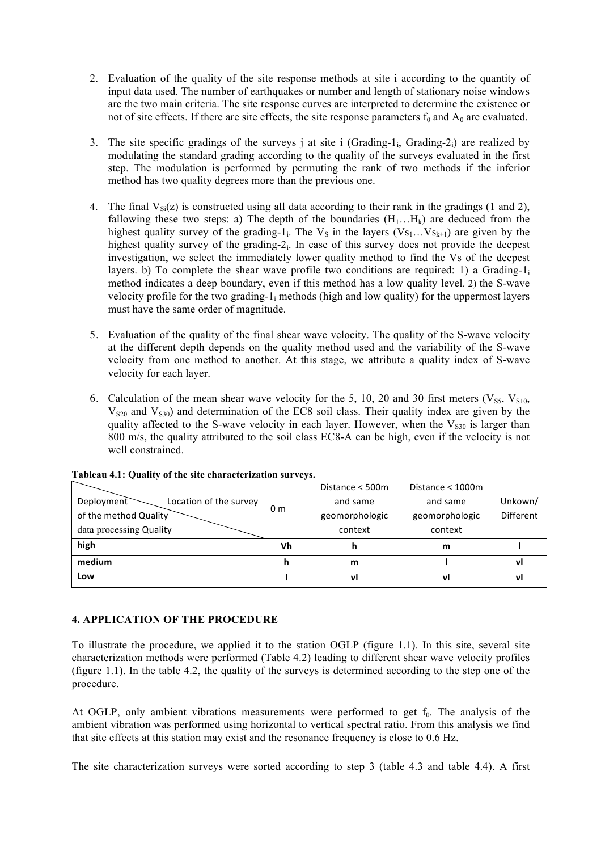- 2. Evaluation of the quality of the site response methods at site i according to the quantity of input data used. The number of earthquakes or number and length of stationary noise windows are the two main criteria. The site response curves are interpreted to determine the existence or not of site effects. If there are site effects, the site response parameters  $f_0$  and  $A_0$  are evaluated.
- 3. The site specific gradings of the surveys j at site i (Grading-1<sub>i</sub>, Grading-2<sub>i</sub>) are realized by modulating the standard grading according to the quality of the surveys evaluated in the first step. The modulation is performed by permuting the rank of two methods if the inferior method has two quality degrees more than the previous one.
- 4. The final  $V_{\rm Si}(z)$  is constructed using all data according to their rank in the gradings (1 and 2), fallowing these two steps: a) The depth of the boundaries  $(H_1...H_k)$  are deduced from the highest quality survey of the grading-1<sub>i</sub>. The  $V_S$  in the layers ( $V_{S_1}$ ..., $V_{S_{k+1}}$ ) are given by the highest quality survey of the grading-2<sub>i</sub>. In case of this survey does not provide the deepest investigation, we select the immediately lower quality method to find the Vs of the deepest layers. b) To complete the shear wave profile two conditions are required: 1) a Grading- $1<sub>i</sub>$ method indicates a deep boundary, even if this method has a low quality level. 2) the S-wave velocity profile for the two grading-1; methods (high and low quality) for the uppermost layers must have the same order of magnitude.
- 5. Evaluation of the quality of the final shear wave velocity. The quality of the S-wave velocity at the different depth depends on the quality method used and the variability of the S-wave velocity from one method to another. At this stage, we attribute a quality index of S-wave velocity for each layer.
- 6. Calculation of the mean shear wave velocity for the 5, 10, 20 and 30 first meters ( $V_{SS}$ ,  $V_{S10}$ ,  $V<sub>S20</sub>$  and  $V<sub>S30</sub>$ ) and determination of the EC8 soil class. Their quality index are given by the quality affected to the S-wave velocity in each layer. However, when the  $V_{S30}$  is larger than 800 m/s, the quality attributed to the soil class EC8-A can be high, even if the velocity is not well constrained.

|                                      |                | Distance < 500m | Distance < 1000m |                  |
|--------------------------------------|----------------|-----------------|------------------|------------------|
| Location of the survey<br>Deployment | 0 <sub>m</sub> | and same        | and same         | Unkown/          |
| of the method Quality                |                | geomorphologic  | geomorphologic   | <b>Different</b> |
| data processing Quality              |                | context         | context          |                  |
| high                                 | Vh             | n               | m                |                  |
| medium                               | h              | m               |                  | vl               |
| Low                                  |                | vl              | vl               | ۷l               |

**Tableau 4.1: Quality of the site characterization surveys.** 

# **4. APPLICATION OF THE PROCEDURE**

To illustrate the procedure, we applied it to the station OGLP (figure 1.1). In this site, several site characterization methods were performed (Table 4.2) leading to different shear wave velocity profiles (figure 1.1). In the table 4.2, the quality of the surveys is determined according to the step one of the procedure.

At OGLP, only ambient vibrations measurements were performed to get  $f_0$ . The analysis of the ambient vibration was performed using horizontal to vertical spectral ratio. From this analysis we find that site effects at this station may exist and the resonance frequency is close to 0.6 Hz.

The site characterization surveys were sorted according to step 3 (table 4.3 and table 4.4). A first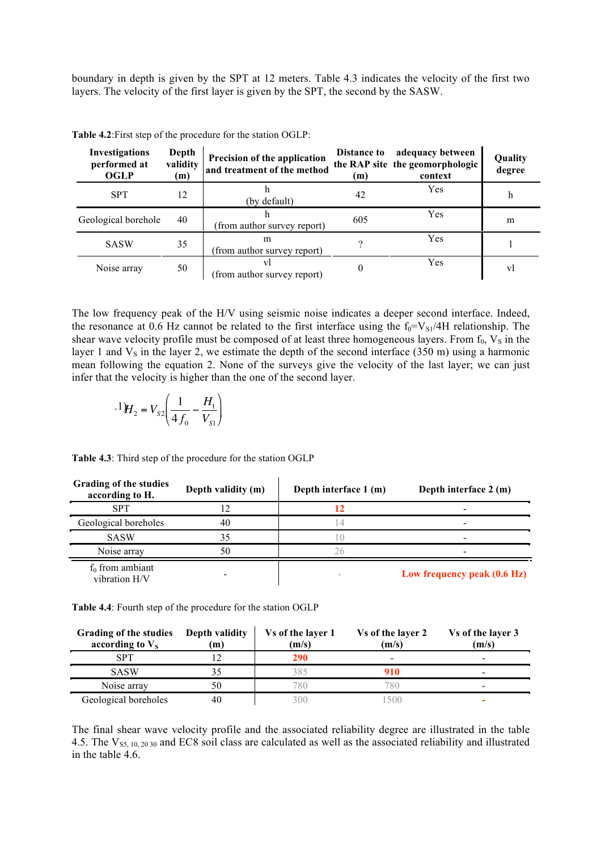boundary in depth is given by the SPT at 12 meters. Table 4.3 indicates the velocity of the first two layers. The velocity of the first layer is given by the SPT, the second by the SASW.

| Investigations<br>performed at<br><b>OGLP</b> | Depth<br>validity<br>(m) | Precision of the application<br>and treatment of the method | <b>Distance to</b><br>(m) | adequacy between<br>the RAP site the geomorphologic<br>context | Quality<br>degree |
|-----------------------------------------------|--------------------------|-------------------------------------------------------------|---------------------------|----------------------------------------------------------------|-------------------|
| <b>SPT</b>                                    | 12                       | (by default)                                                | 42                        | Yes                                                            | h                 |
| Geological borehole                           | 40                       | (from author survey report)                                 | 605                       | Yes                                                            | m                 |
| <b>SASW</b>                                   | 35                       | m<br>(from author survey report)                            |                           | Yes                                                            |                   |
| Noise array                                   | 50                       | VI<br>(from author survey report)                           |                           | Yes                                                            | VI                |

**Table 4.2**:First step of the procedure for the station OGLP:

The low frequency peak of the H/V using seismic noise indicates a deeper second interface. Indeed, the resonance at 0.6 Hz cannot be related to the first interface using the  $f_0=V_{\rm SI}/4H$  relationship. The shear wave velocity profile must be composed of at least three homogeneous layers. From  $f_0$ ,  $V_s$  in the layer 1 and  $V_s$  in the layer 2, we estimate the depth of the second interface (350 m) using a harmonic mean following the equation 2. None of the surveys give the velocity of the last layer; we can just infer that the velocity is higher than the one of the second layer.

$$
^{.1)}H_{2} = V_{S2} \left( \frac{1}{4 f_{0}} - \frac{H_{1}}{V_{S1}} \right)
$$

| Grading of the studies<br>according to H. | Depth validity (m) | Depth interface 1 (m) | Depth interface 2 (m)       |
|-------------------------------------------|--------------------|-----------------------|-----------------------------|
| <b>SPT</b>                                |                    |                       |                             |
| Geological boreholes                      | 40                 |                       |                             |
| <b>SASW</b>                               | 35                 |                       |                             |
| Noise array                               | 50                 |                       |                             |
| $f_0$ from ambiant<br>vibration H/V       |                    |                       | Low frequency peak (0.6 Hz) |

**Table 4.3**: Third step of the procedure for the station OGLP

**Table 4.4**: Fourth step of the procedure for the station OGLP

| Grading of the studies<br>according to $V_s$ | Depth validity<br>(m) | Vs of the layer 1<br>(m/s) | Vs of the layer 2<br>(m/s) | Vs of the layer 3<br>(m/s) |
|----------------------------------------------|-----------------------|----------------------------|----------------------------|----------------------------|
| SPT                                          |                       | 290                        | -                          | -                          |
| <b>SASW</b>                                  |                       |                            | 910                        |                            |
| Noise array                                  | 50                    | 780.                       | 780                        | -                          |
| Geological boreholes                         | 40                    |                            | 500                        |                            |

The final shear wave velocity profile and the associated reliability degree are illustrated in the table 4.5. The  $V_{S5, 10, 20, 30}$  and EC8 soil class are calculated as well as the associated reliability and illustrated in the table 4.6.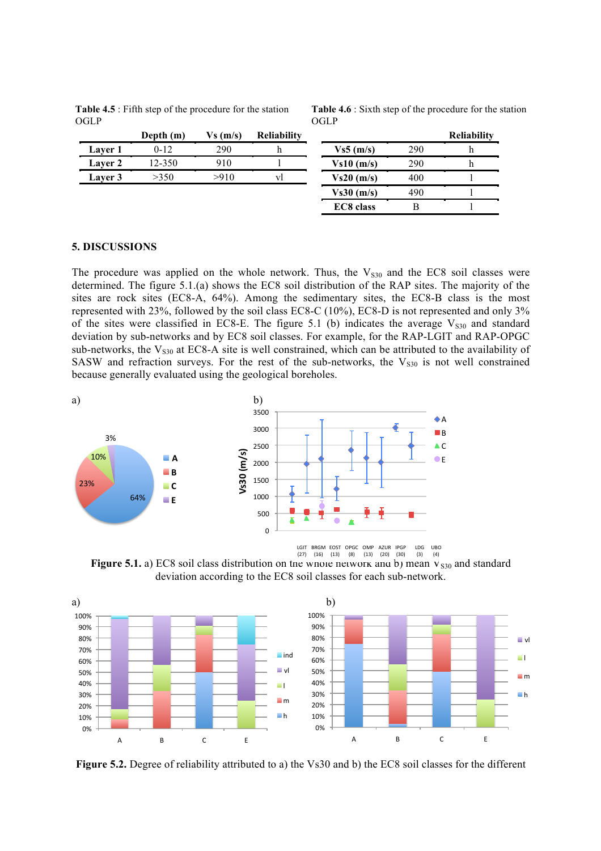**Table 4.5** : Fifth step of the procedure for the station OGLP

**Table 4.6** : Sixth step of the procedure for the station OGLP

|                | Depth (m) | Vs(m/s) | <b>Reliability</b> |                  |     | <b>Reliability</b> |
|----------------|-----------|---------|--------------------|------------------|-----|--------------------|
| <b>Laver</b> 1 | $0 - 12$  | 290     |                    | Vs5(m/s)         | 290 |                    |
| <b>Laver 2</b> | 12-350    | 910     |                    | Vs10(m/s)        | 290 |                    |
| Laver 3        | >350      | >910    | VI                 | Vs20(m/s)        | 400 |                    |
|                |           |         |                    | Vs30(m/s)        | 490 |                    |
|                |           |         |                    | <b>EC8</b> class |     |                    |

### **5. DISCUSSIONS**

The procedure was applied on the whole network. Thus, the  $V<sub>S30</sub>$  and the EC8 soil classes were determined. The figure 5.1.(a) shows the EC8 soil distribution of the RAP sites. The majority of the sites are rock sites (EC8-A, 64%). Among the sedimentary sites, the EC8-B class is the most represented with 23%, followed by the soil class EC8-C (10%), EC8-D is not represented and only 3% of the sites were classified in EC8-E. The figure 5.1 (b) indicates the average  $V<sub>S30</sub>$  and standard deviation by sub-networks and by EC8 soil classes. For example, for the RAP-LGIT and RAP-OPGC sub-networks, the  $V_{S30}$  at EC8-A site is well constrained, which can be attributed to the availability of SASW and refraction surveys. For the rest of the sub-networks, the  $V<sub>S30</sub>$  is not well constrained because generally evaluated using the geological boreholes. **!"#\$%&'((\$()\*&\$+\*(,-\*./0)1\$)1\$,23\$**



**Figure 5.1.** a) EC8 soil class distribution on the whole network and b) mean  $V_{S30}$  and standard deviation according to the EC8 soil classes for each sub-network.



**Figure 5.2.** Degree of reliability attributed to a) the Vs30 and b) the EC8 soil classes for the different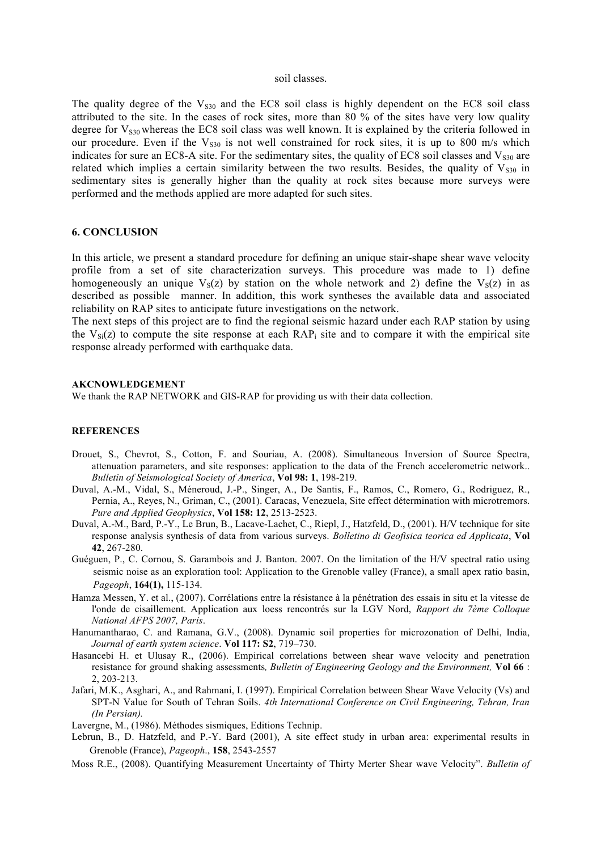#### soil classes.

The quality degree of the  $V<sub>S30</sub>$  and the EC8 soil class is highly dependent on the EC8 soil class attributed to the site. In the cases of rock sites, more than 80 % of the sites have very low quality degree for  $V_{s30}$  whereas the EC8 soil class was well known. It is explained by the criteria followed in our procedure. Even if the  $V<sub>S30</sub>$  is not well constrained for rock sites, it is up to 800 m/s which indicates for sure an EC8-A site. For the sedimentary sites, the quality of EC8 soil classes and  $V<sub>830</sub>$  are related which implies a certain similarity between the two results. Besides, the quality of  $V<sub>S30</sub>$  in sedimentary sites is generally higher than the quality at rock sites because more surveys were performed and the methods applied are more adapted for such sites.

### **6. CONCLUSION**

In this article, we present a standard procedure for defining an unique stair-shape shear wave velocity profile from a set of site characterization surveys. This procedure was made to 1) define homogeneously an unique  $V_s(z)$  by station on the whole network and 2) define the  $V_s(z)$  in as described as possible manner. In addition, this work syntheses the available data and associated reliability on RAP sites to anticipate future investigations on the network.

The next steps of this project are to find the regional seismic hazard under each RAP station by using the  $V_{Si}(z)$  to compute the site response at each  $RAP_i$  site and to compare it with the empirical site response already performed with earthquake data.

#### **AKCNOWLEDGEMENT**

We thank the RAP NETWORK and GIS-RAP for providing us with their data collection.

#### **REFERENCES**

- Drouet, S., Chevrot, S., Cotton, F. and Souriau, A. (2008). Simultaneous Inversion of Source Spectra, attenuation parameters, and site responses: application to the data of the French accelerometric network.. *Bulletin of Seismological Society of America*, **Vol 98: 1**, 198-219.
- Duval, A.-M., Vidal, S., Méneroud, J.-P., Singer, A., De Santis, F., Ramos, C., Romero, G., Rodriguez, R., Pernia, A., Reyes, N., Griman, C., (2001). Caracas, Venezuela, Site effect détermination with microtremors. *Pure and Applied Geophysics*, **Vol 158: 12**, 2513-2523.
- Duval, A.-M., Bard, P.-Y., Le Brun, B., Lacave-Lachet, C., Riepl, J., Hatzfeld, D., (2001). H/V technique for site response analysis synthesis of data from various surveys. *Bolletino di Geofisica teorica ed Applicata*, **Vol 42**, 267-280.
- Guéguen, P., C. Cornou, S. Garambois and J. Banton. 2007. On the limitation of the H/V spectral ratio using seismic noise as an exploration tool: Application to the Grenoble valley (France), a small apex ratio basin, *Pageoph*, **164(1),** 115-134.
- Hamza Messen, Y. et al., (2007). Corrélations entre la résistance à la pénétration des essais in situ et la vitesse de l'onde de cisaillement. Application aux loess rencontrés sur la LGV Nord, *Rapport du 7ème Colloque National AFPS 2007, Paris*.
- Hanumantharao, C. and Ramana, G.V., (2008). Dynamic soil properties for microzonation of Delhi, India, *Journal of earth system science*. **Vol 117: S2**, 719–730.
- Hasancebi H. et Ulusay R., (2006). Empirical correlations between shear wave velocity and penetration resistance for ground shaking assessments*, Bulletin of Engineering Geology and the Environment,* **Vol 66** : 2, 203-213.
- Jafari, M.K., Asghari, A., and Rahmani, I. (1997). Empirical Correlation between Shear Wave Velocity (Vs) and SPT-N Value for South of Tehran Soils. *4th International Conference on Civil Engineering, Tehran, Iran (In Persian).*

Lavergne, M., (1986). Méthodes sismiques, Editions Technip.

- Lebrun, B., D. Hatzfeld, and P.-Y. Bard (2001), A site effect study in urban area: experimental results in Grenoble (France), *Pageoph*., **158**, 2543-2557
- Moss R.E., (2008). Quantifying Measurement Uncertainty of Thirty Merter Shear wave Velocity". *Bulletin of*